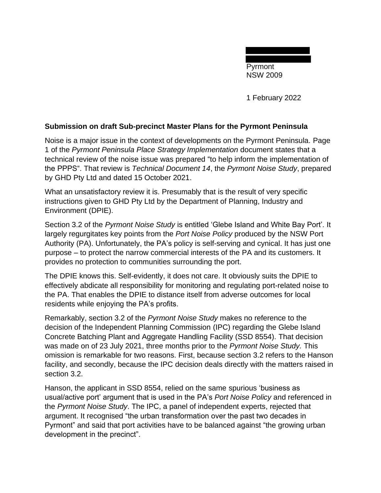Pyrmont NSW 2009

1 February 2022

## **Submission on draft Sub-precinct Master Plans for the Pyrmont Peninsula**

Noise is a major issue in the context of developments on the Pyrmont Peninsula. Page 1 of the *Pyrmont Peninsula Place Strategy Implementation* document states that a technical review of the noise issue was prepared "to help inform the implementation of the PPPS". That review is *Technical Document 14*, the *Pyrmont Noise Study*, prepared by GHD Pty Ltd and dated 15 October 2021.

What an unsatisfactory review it is. Presumably that is the result of very specific instructions given to GHD Pty Ltd by the Department of Planning, Industry and Environment (DPIE).

Section 3.2 of the *Pyrmont Noise Study* is entitled 'Glebe Island and White Bay Port'. It largely regurgitates key points from the *Port Noise Policy* produced by the NSW Port Authority (PA). Unfortunately, the PA's policy is self-serving and cynical. It has just one purpose – to protect the narrow commercial interests of the PA and its customers. It provides no protection to communities surrounding the port.

The DPIE knows this. Self-evidently, it does not care. It obviously suits the DPIE to effectively abdicate all responsibility for monitoring and regulating port-related noise to the PA. That enables the DPIE to distance itself from adverse outcomes for local residents while enjoying the PA's profits.

Remarkably, section 3.2 of the *Pyrmont Noise Study* makes no reference to the decision of the Independent Planning Commission (IPC) regarding the Glebe Island Concrete Batching Plant and Aggregate Handling Facility (SSD 8554). That decision was made on of 23 July 2021, three months prior to the *Pyrmont Noise Study.* This omission is remarkable for two reasons. First, because section 3.2 refers to the Hanson facility, and secondly, because the IPC decision deals directly with the matters raised in section 3.2.

Hanson, the applicant in SSD 8554, relied on the same spurious 'business as usual/active port' argument that is used in the PA's *Port Noise Policy* and referenced in the *Pyrmont Noise Study*. The IPC, a panel of independent experts, rejected that argument. It recognised "the urban transformation over the past two decades in Pyrmont" and said that port activities have to be balanced against "the growing urban development in the precinct".